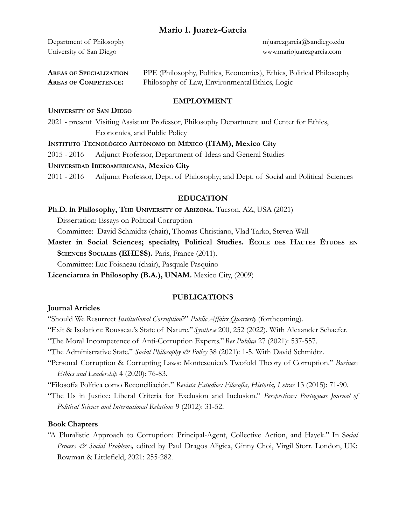Department of Philosophy mjuarezgarcia@sandiego.edu

University of San Diego www.mariojuarezgarcia.com

| <b>AREAS OF SPECIALIZATION</b> | PPE (Philosophy, Politics, Economics), Ethics, Political Philosophy |
|--------------------------------|---------------------------------------------------------------------|
| <b>AREAS OF COMPETENCE:</b>    | Philosophy of Law, Environmental Ethics, Logic                      |

### **EMPLOYMENT**

### **UNIVERSITY OF SAN DIEGO**

2021 - present Visiting Assistant Professor, Philosophy Department and Center for Ethics, Economics, and Public Policy

**INSTITUTO TECNOLÓGICO AUTÓNOMO DE MÉXICO (ITAM), Mexico City**

2015 - 2016 Adjunct Professor, Department of Ideas and General Studies

### **UNIVERSIDAD IBEROAMERICANA, Mexico City**

2011 - 2016 Adjunct Professor, Dept. of Philosophy; and Dept. of Social and Political Sciences

### **EDUCATION**

### **Ph.D. in Philosophy, THE UNIVERSITY OF ARIZONA.** Tucson, AZ, USA (2021)

Dissertation: Essays on Political Corruption

Committee: David Schmidtz (chair), Thomas Christiano, Vlad Tarko, Steven Wall

**Master in Social Sciences; specialty, Political Studies. ÉCOLE DES HAUTES ÉTUDES EN SCIENCES SOCIALES (EHESS).** Paris, France (2011).

Committee: Luc Foisneau (chair), Pasquale Pasquino

**Licenciatura in Philosophy (B.A.), UNAM.** Mexico City, (2009)

### **PUBLICATIONS**

### **Journal Articles**

"Should We Resurrect *Institutional Corruption*?" *Public Affairs Quarterly* (forthcoming).

"Exit & Isolation: Rousseau's State of Nature."*Synthese* 200, 252 (2022). With Alexander Schaefer.

"The Moral Incompetence of Anti-Corruption Experts."*Res Publica* 27 (2021): 537-557.

- "The Administrative State." *Social Philosophy & Policy* 38 (2021): 1-5. With David Schmidtz.
- "Personal Corruption & Corrupting Laws: Montesquieu's Twofold Theory of Corruption." *Business Ethics and Leadership* 4 (2020): 76-83.

"Filosofía Política como Reconciliación." *Revista Estudios: Filosofía, Historia, Letras* 13 (2015): 71-90.

"The Us in Justice: Liberal Criteria for Exclusion and Inclusion." *Perspectivas: Portuguese Journal of Political Science and International Relations* 9 (2012): 31-52.

### **Book Chapters**

"A Pluralistic Approach to Corruption: Principal-Agent, Collective Action, and Hayek." In S*ocial Process & Social Problems,* edited by Paul Dragos Aligica, Ginny Choi, Virgil Storr. London, UK: Rowman & Littlefield, 2021: 255-282.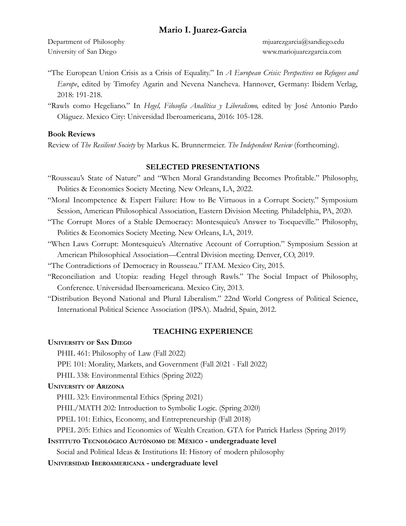University of San Diego www.mariojuarezgarcia.com

Department of Philosophy mjuarezgarcia@sandiego.edu

- "The European Union Crisis as a Crisis of Equality." In *A European Crisis: Perspectives on Refugees and Europe*, edited by Timofey Agarin and Nevena Nancheva. Hannover, Germany: Ibidem Verlag, 2018: 191-218.
- "Rawls como Hegeliano." In *Hegel, Filosofía Analítica y Liberalismo,* edited by José Antonio Pardo Oláguez. Mexico City: Universidad Iberoamericana, 2016: 105-128.

### **Book Reviews**

Review of *The Resilient Society* by Markus K. Brunnermeier. *The Independent Review* (forthcoming).

#### **SELECTED PRESENTATIONS**

- "Rousseau's State of Nature" and "When Moral Grandstanding Becomes Profitable." Philosophy, Politics & Economics Society Meeting. New Orleans, LA, 2022.
- "Moral Incompetence & Expert Failure: How to Be Virtuous in a Corrupt Society." Symposium Session, American Philosophical Association, Eastern Division Meeting. Philadelphia, PA, 2020.
- "The Corrupt Mores of a Stable Democracy: Montesquieu's Answer to Tocqueville." Philosophy, Politics & Economics Society Meeting. New Orleans, LA, 2019.
- "When Laws Corrupt: Montesquieu's Alternative Account of Corruption." Symposium Session at American Philosophical Association—Central Division meeting. Denver, CO, 2019.
- "The Contradictions of Democracy in Rousseau." ITAM. Mexico City, 2015.
- "Reconciliation and Utopia: reading Hegel through Rawls." The Social Impact of Philosophy, Conference. Universidad Iberoamericana. Mexico City, 2013.
- "Distribution Beyond National and Plural Liberalism." 22nd World Congress of Political Science, International Political Science Association (IPSA). Madrid, Spain, 2012.

#### **TEACHING EXPERIENCE**

#### **UNIVERSITY OF SAN DIEGO**

- PHIL 461: Philosophy of Law (Fall 2022)
- PPE 101: Morality, Markets, and Government (Fall 2021 Fall 2022)

PHIL 338: Environmental Ethics (Spring 2022)

#### **UNIVERSITY OF ARIZONA**

PHIL 323: Environmental Ethics (Spring 2021)

PHIL/MATH 202: Introduction to Symbolic Logic. (Spring 2020)

PPEL 101: Ethics, Economy, and Entrepreneurship (Fall 2018)

PPEL 205: Ethics and Economics of Wealth Creation. GTA for Patrick Harless (Spring 2019)

#### **INSTITUTO TECNOLÓGICO AUTÓNOMO DE MÉXICO - undergraduate level**

Social and Political Ideas & Institutions II: History of modern philosophy

**UNIVERSIDAD IBEROAMERICANA - undergraduate level**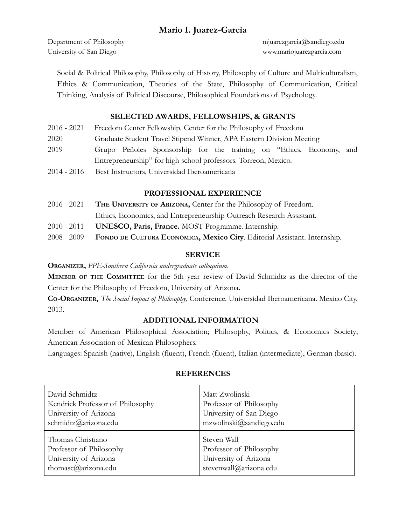University of San Diego www.mariojuarezgarcia.com

Department of Philosophy mjuarezgarcia@sandiego.edu

Social & Political Philosophy, Philosophy of History, Philosophy of Culture and Multiculturalism, Ethics & Communication, Theories of the State, Philosophy of Communication, Critical Thinking, Analysis of Political Discourse, Philosophical Foundations of Psychology.

### **SELECTED AWARDS, FELLOWSHIPS, & GRANTS**

| 2016 - 2021 Freedom Center Fellowship, Center for the Philosophy of Freedom |  |
|-----------------------------------------------------------------------------|--|
|-----------------------------------------------------------------------------|--|

- 2020 Graduate Student Travel Stipend Winner, APA Eastern Division Meeting
- 2019 Grupo Peñoles Sponsorship for the training on "Ethics, Economy, and Entrepreneurship" for high school professors. Torreon, Mexico.
- 2014 2016 Best Instructors, Universidad Iberoamericana

### **PROFESSIONAL EXPERIENCE**

- 2016 2021 **THE UNIVERSITY OF ARIZONA,** Center for the Philosophy of Freedom.
	- Ethics, Economics, and Entrepreneurship Outreach Research Assistant*.*
- 2010 2011 **UNESCO, Paris, France.** MOST Programme. Internship.
- 2008 2009 **FONDO DE CULTURA ECONÓMICA, Mexico City**. Editorial Assistant. Internship.

### **SERVICE**

**ORGANIZER,** *PPE-Southern California undergraduate colloquium*.

**MEMBER OF THE COMMITTEE** for the 5th year review of David Schmidtz as the director of the Center for the Philosophy of Freedom, University of Arizona.

**CO-ORGANIZER,** *The Social Impact of Philosophy*, Conference. Universidad Iberoamericana. Mexico City, 2013.

### **ADDITIONAL INFORMATION**

Member of American Philosophical Association; Philosophy, Politics, & Economics Society; American Association of Mexican Philosophers.

Languages: Spanish (native), English (fluent), French (fluent), Italian (intermediate), German (basic).

| David Schmidtz                   | Matt Zwolinski          |
|----------------------------------|-------------------------|
| Kendrick Professor of Philosophy | Professor of Philosophy |
| University of Arizona            | University of San Diego |
| schmidtz@arizona.edu             | mzwolinski@sandiego.edu |
| Thomas Christiano                | Steven Wall             |
| Professor of Philosophy          | Professor of Philosophy |
| University of Arizona            | University of Arizona   |
| thomasc@arizona.edu              | stevenwall@arizona.edu  |

### **REFERENCES**